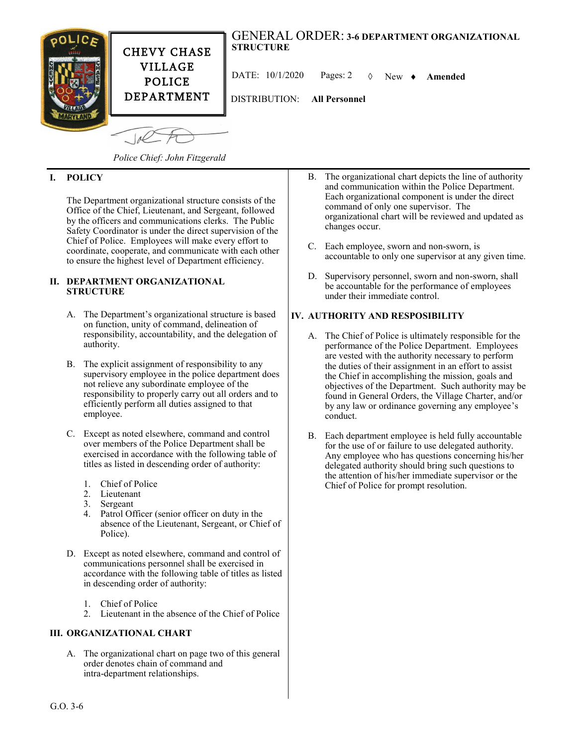

CHEVY CHASE VILLAGE POLICE DEPARTMENT

DATE: 10/1/2020 Pages: 2 New **Amended**

DISTRIBUTION: **All Personnel**

 $10<sup>2</sup>$ 

*Police Chief: John Fitzgerald*

## **I. POLICY**

The Department organizational structure consists of the Office of the Chief, Lieutenant, and Sergeant, followed by the officers and communications clerks. The Public Safety Coordinator is under the direct supervision of the Chief of Police. Employees will make every effort to coordinate, cooperate, and communicate with each other to ensure the highest level of Department efficiency.

#### **II. DEPARTMENT ORGANIZATIONAL STRUCTURE**

- A. The Department's organizational structure is based on function, unity of command, delineation of responsibility, accountability, and the delegation of authority.
- B. The explicit assignment of responsibility to any supervisory employee in the police department does not relieve any subordinate employee of the responsibility to properly carry out all orders and to efficiently perform all duties assigned to that employee.
- C. Except as noted elsewhere, command and control over members of the Police Department shall be exercised in accordance with the following table of titles as listed in descending order of authority:
	- 1. Chief of Police
	- 2. Lieutenant
	- 3. Sergeant
	- 4. Patrol Officer (senior officer on duty in the absence of the Lieutenant, Sergeant, or Chief of Police).
- D. Except as noted elsewhere, command and control of communications personnel shall be exercised in accordance with the following table of titles as listed in descending order of authority:
	- 1. Chief of Police
	- 2. Lieutenant in the absence of the Chief of Police

### **III. ORGANIZATIONAL CHART**

A. The organizational chart on page two of this general order denotes chain of command and intra-department relationships.

- B. The organizational chart depicts the line of authority and communication within the Police Department. Each organizational component is under the direct command of only one supervisor. The organizational chart will be reviewed and updated as changes occur.
- C. Each employee, sworn and non-sworn, is accountable to only one supervisor at any given time.
- D. Supervisory personnel, sworn and non-sworn, shall be accountable for the performance of employees under their immediate control.

### **IV. AUTHORITY AND RESPOSIBILITY**

- A. The Chief of Police is ultimately responsible for the performance of the Police Department. Employees are vested with the authority necessary to perform the duties of their assignment in an effort to assist the Chief in accomplishing the mission, goals and objectives of the Department. Such authority may be found in General Orders, the Village Charter, and/or by any law or ordinance governing any employee's conduct.
- B. Each department employee is held fully accountable for the use of or failure to use delegated authority. Any employee who has questions concerning his/her delegated authority should bring such questions to the attention of his/her immediate supervisor or the Chief of Police for prompt resolution.